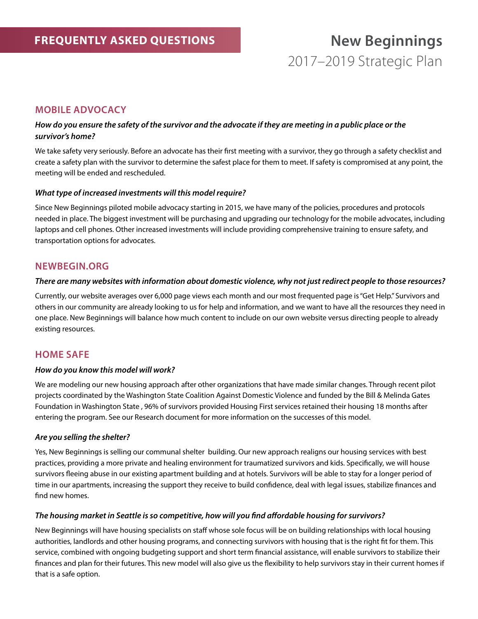## **Mobile Advocacy**

### *How do you ensure the safety of the survivor and the advocate if they are meeting in a public place or the survivor's home?*

We take safety very seriously. Before an advocate has their first meeting with a survivor, they go through a safety checklist and create a safety plan with the survivor to determine the safest place for them to meet. If safety is compromised at any point, the meeting will be ended and rescheduled.

#### *What type of increased investments will this model require?*

Since New Beginnings piloted mobile advocacy starting in 2015, we have many of the policies, procedures and protocols needed in place. The biggest investment will be purchasing and upgrading our technology for the mobile advocates, including laptops and cell phones. Other increased investments will include providing comprehensive training to ensure safety, and transportation options for advocates.

## **Newbegin.org**

#### *There are many websites with information about domestic violence, why not just redirect people to those resources?*

Currently, our website averages over 6,000 page views each month and our most frequented page is "Get Help." Survivors and others in our community are already looking to us for help and information, and we want to have all the resources they need in one place. New Beginnings will balance how much content to include on our own website versus directing people to already existing resources.

## **Home Safe**

#### *How do you know this model will work?*

We are modeling our new housing approach after other organizations that have made similar changes. Through recent pilot projects coordinated by the Washington State Coalition Against Domestic Violence and funded by the Bill & Melinda Gates Foundation in Washington State , 96% of survivors provided Housing First services retained their housing 18 months after entering the program. See our Research document for more information on the successes of this model.

#### *Are you selling the shelter?*

Yes, New Beginnings is selling our communal shelter building. Our new approach realigns our housing services with best practices, providing a more private and healing environment for traumatized survivors and kids. Specifically, we will house survivors fleeing abuse in our existing apartment building and at hotels. Survivors will be able to stay for a longer period of time in our apartments, increasing the support they receive to build confidence, deal with legal issues, stabilize finances and find new homes.

#### *The housing market in Seattle is so competitive, how will you find affordable housing for survivors?*

New Beginnings will have housing specialists on staff whose sole focus will be on building relationships with local housing authorities, landlords and other housing programs, and connecting survivors with housing that is the right fit for them. This service, combined with ongoing budgeting support and short term financial assistance, will enable survivors to stabilize their finances and plan for their futures. This new model will also give us the flexibility to help survivors stay in their current homes if that is a safe option.